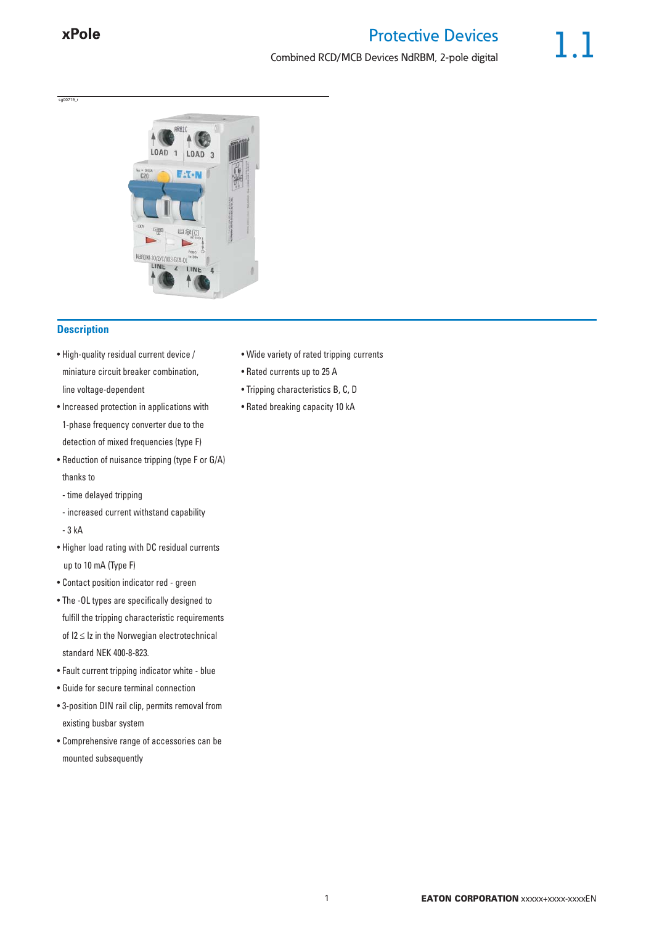sg00719\_r

# Protective Devices Combined RCD/MCB Devices NdRBM, 2-pole digital



## **Description**

- High-quality residual current device / miniature circuit breaker combination, line voltage-dependent
- Increased protection in applications with 1-phase frequency converter due to the detection of mixed frequencies (type F)
- Reduction of nuisance tripping (type F or G/A) thanks to
- time delayed tripping
- increased current withstand capability
- 3 kA
- Higher load rating with DC residual currents up to 10 mA (Type F)
- Contact position indicator red green
- The -OL types are specifically designed to fulfill the tripping characteristic requirements of  $12 \leq Iz$  in the Norwegian electrotechnical standard NEK 400-8-823.
- Fault current tripping indicator white blue
- Guide for secure terminal connection
- 3-position DIN rail clip, permits removal from existing busbar system
- Comprehensive range of accessories can be mounted subsequently
- Wide variety of rated tripping currents
- Rated currents up to 25 A
- Tripping characteristics B, C, D
- Rated breaking capacity 10 kA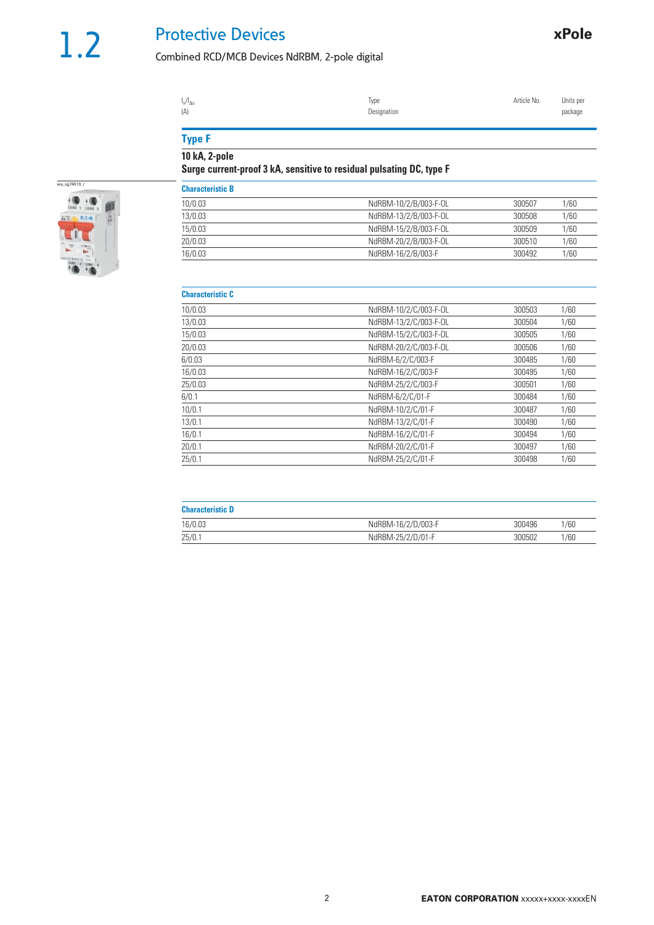# Protective Devices

# Combined RCD/MCB Devices NdRBM, 2-pole digital

| $I_n/I_{\Delta n}$ | lype        | Article No. | Units per |
|--------------------|-------------|-------------|-----------|
| (A)                | Designation |             | package   |
|                    |             |             |           |

# **Type F**

**10 kA, 2-pole**

## **Surge current-proof 3 kA, sensitive to residual pulsating DC, type F**



#### **Characteristic C**

| viidravlvi lotiv v |                       |        |      |
|--------------------|-----------------------|--------|------|
| 10/0.03            | NdRBM-10/2/C/003-F-OL | 300503 | 1/60 |
| 13/0.03            | NdRBM-13/2/C/003-F-OL | 300504 | 1/60 |
| 15/0.03            | NdRBM-15/2/C/003-F-OL | 300505 | 1/60 |
| 20/0.03            | NdRBM-20/2/C/003-F-OL | 300506 | 1/60 |
| 6/0.03             | NdRBM-6/2/C/003-F     | 300485 | 1/60 |
| 16/0.03            | NdRBM-16/2/C/003-F    | 300495 | 1/60 |
| 25/0.03            | NdRBM-25/2/C/003-F    | 300501 | 1/60 |
| 6/0.1              | NdRBM-6/2/C/01-F      | 300484 | 1/60 |
| 10/0.1             | NdRBM-10/2/C/01-F     | 300487 | 1/60 |
| 13/0.1             | NdRBM-13/2/C/01-F     | 300490 | 1/60 |
| 16/0.1             | NdRBM-16/2/C/01-F     | 300494 | 1/60 |
| 20/0.1             | NdRBM-20/2/C/01-F     | 300497 | 1/60 |
| 25/0.1             | NdRBM-25/2/C/01-F     | 300498 | 1/60 |

| <b>Characteristic D</b> |                    |        |      |
|-------------------------|--------------------|--------|------|
| 16/0.03                 | NdRBM-16/2/D/003-F | 300496 | 1/60 |
| 25/0.7                  | NdRBM-25/2/D/01-F  | 300502 | /60  |

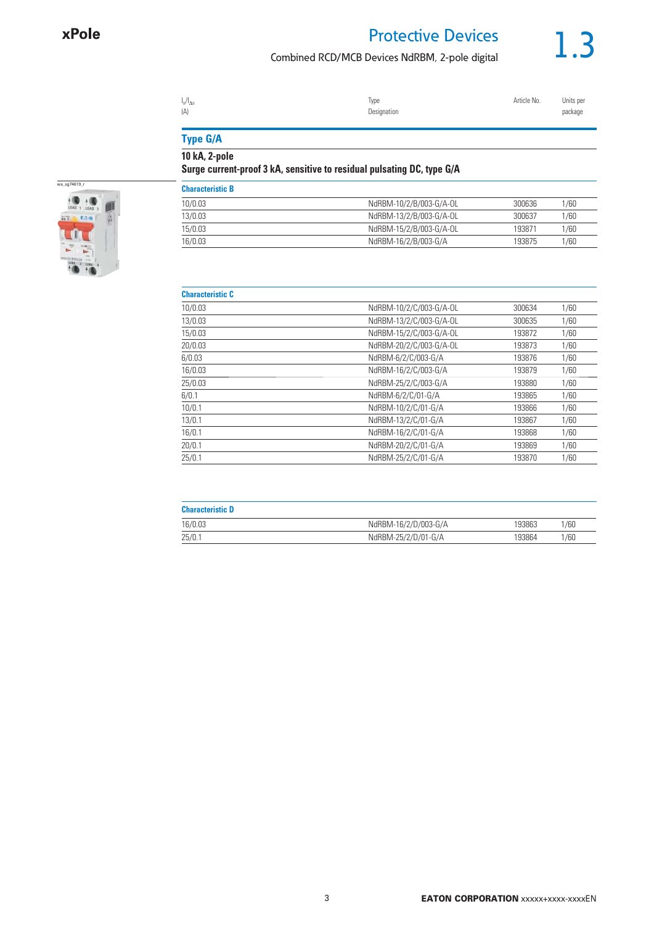# Protective Devices

## Combined RCD/MCB Devices NdRBM, 2-pole digital



| $I_n/I_{\Delta n}$ | Type        | Article No. | Units per |
|--------------------|-------------|-------------|-----------|
| (A)                | Designation |             | package   |
|                    |             |             |           |

# **Type G/A**

**10 kA, 2-pole**

# **Surge current-proof 3 kA, sensitive to residual pulsating DC, type G/A**



| NdRBM-10/2/C/003-G/A-OL | 300634 | 1/60 |
|-------------------------|--------|------|
| NdRBM-13/2/C/003-G/A-OL | 300635 | 1/60 |
| NdRBM-15/2/C/003-G/A-OL | 193872 | 1/60 |
| NdRBM-20/2/C/003-G/A-OL | 193873 | 1/60 |
| NdRBM-6/2/C/003-G/A     | 193876 | 1/60 |
| NdRBM-16/2/C/003-G/A    | 193879 | 1/60 |
| NdRBM-25/2/C/003-G/A    | 193880 | 1/60 |
| NdRBM-6/2/C/01-G/A      | 193865 | 1/60 |
| NdRBM-10/2/C/01-G/A     | 193866 | 1/60 |
| NdRBM-13/2/C/01-G/A     | 193867 | 1/60 |
| NdRBM-16/2/C/01-G/A     | 193868 | 1/60 |
| NdRBM-20/2/C/01-G/A     | 193869 | 1/60 |
| NdRBM-25/2/C/01-G/A     | 193870 | 1/60 |
|                         |        |      |

| <b>Characteristic D</b> |                      |        |      |
|-------------------------|----------------------|--------|------|
| 16/0.03                 | NdRBM-16/2/D/003-G/A | 193863 | 1/60 |
| 25/0.1                  | NdRBM-25/2/D/01-G/A  | 193864 | 1/60 |

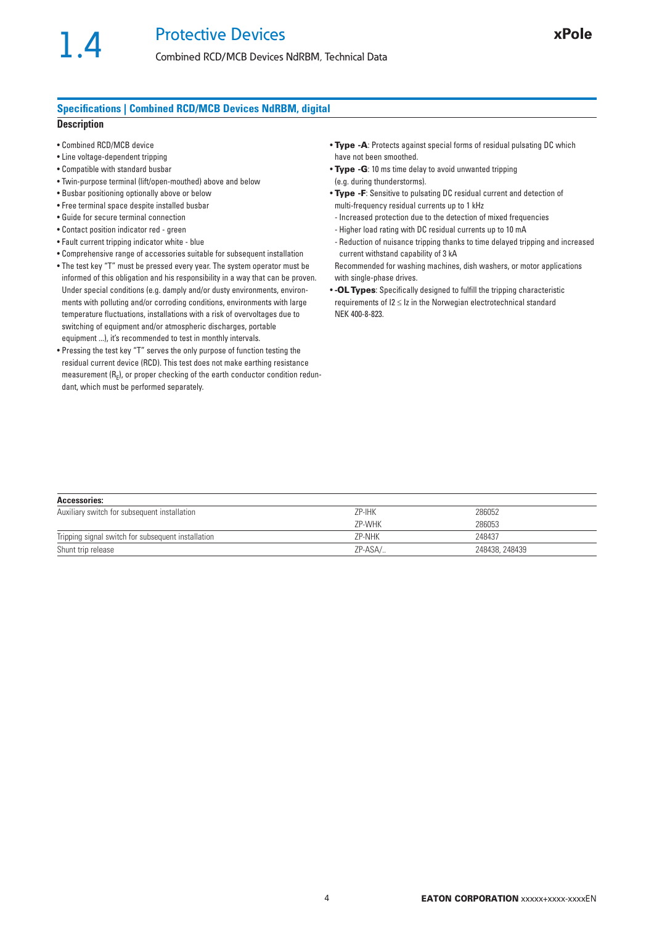#### **Specifications | Combined RCD/MCB Devices NdRBM, digital**

#### **Description**

- Combined RCD/MCB device
- Line voltage-dependent tripping
- Compatible with standard busbar
- Twin-purpose terminal (lift/open-mouthed) above and below
- Busbar positioning optionally above or below
- Free terminal space despite installed busbar
- Guide for secure terminal connection
- Contact position indicator red green
- Fault current tripping indicator white blue
- Comprehensive range of accessories suitable for subsequent installation
- The test key "T" must be pressed every year. The system operator must be informed of this obligation and his responsibility in a way that can be proven. Under special conditions (e.g. damply and/or dusty environments, environments with polluting and/or corroding conditions, environments with large temperature fluctuations, installations with a risk of overvoltages due to switching of equipment and/or atmospheric discharges, portable equipment ...), it's recommended to test in monthly intervals.
- Pressing the test key "T" serves the only purpose of function testing the residual current device (RCD). This test does not make earthing resistance measurement  $(R<sub>E</sub>)$ , or proper checking of the earth conductor condition redundant, which must be performed separately.
- **Type -A**: Protects against special forms of residual pulsating DC which have not been smoothed.
- **Type -G**: 10 ms time delay to avoid unwanted tripping (e.g. during thunderstorms).
- **Type -F**: Sensitive to pulsating DC residual current and detection of multi-frequency residual currents up to 1 kHz
- Increased protection due to the detection of mixed frequencies
- Higher load rating with DC residual currents up to 10 mA
- Reduction of nuisance tripping thanks to time delayed tripping and increased current withstand capability of 3 kA
- Recommended for washing machines, dish washers, or motor applications with single-phase drives.
- **-OL Types**: Specifically designed to fulfill the tripping characteristic requirements of  $12 \leq lz$  in the Norwegian electrotechnical standard NEK 400-8-823.

| <b>Accessories:</b>                                |         |                |
|----------------------------------------------------|---------|----------------|
| Auxiliary switch for subsequent installation       | ZP-IHK  | 286052         |
|                                                    | ZP-WHK  | 286053         |
| Tripping signal switch for subsequent installation | ZP-NHK  | 248437         |
| Shunt trip release                                 | ZP-ASA/ | 248438, 248439 |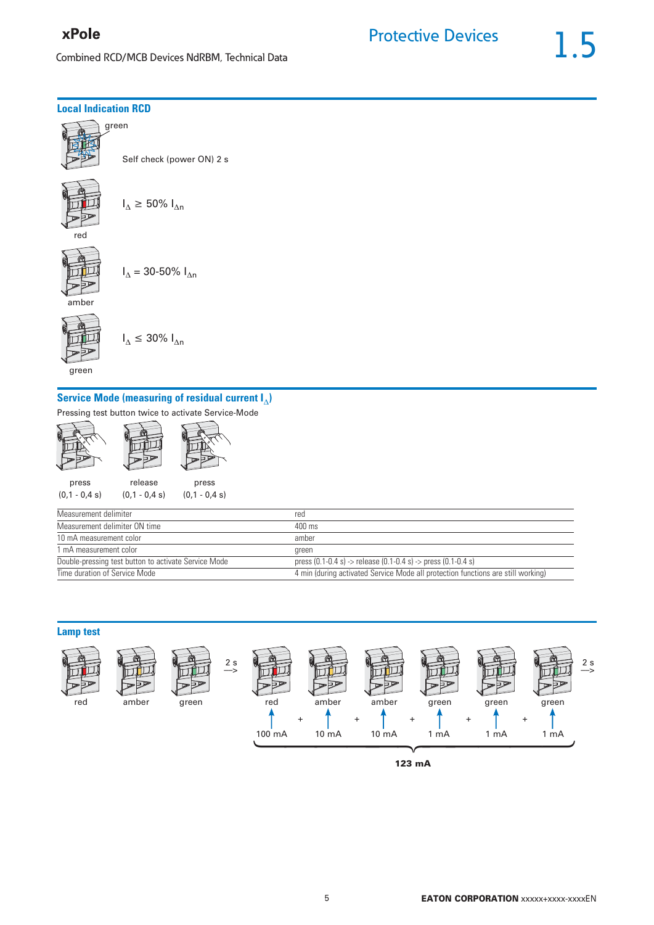# xPole

Combined RCD/MCB Devices NdRBM, Technical Data

#### **Local Indication RCD**



Self check (power ON) 2 s







 $I_{\Delta} \leq 30\% I_{\Delta n}$ 





green

# **Service Mode (measuring of residual current I)**

Pressing test button twice to activate Service-Mode



| Measurement delimiter                                | red                                                                              |
|------------------------------------------------------|----------------------------------------------------------------------------------|
| Measurement delimiter ON time                        | 400 ms                                                                           |
| 10 mA measurement color                              | amber                                                                            |
| 1 mA measurement color                               | green                                                                            |
| Double-pressing test button to activate Service Mode | press $(0.1 - 0.4 s)$ -> release $(0.1 - 0.4 s)$ -> press $(0.1 - 0.4 s)$        |
| Time duration of Service Mode                        | 4 min (during activated Service Mode all protection functions are still working) |



**123 mA**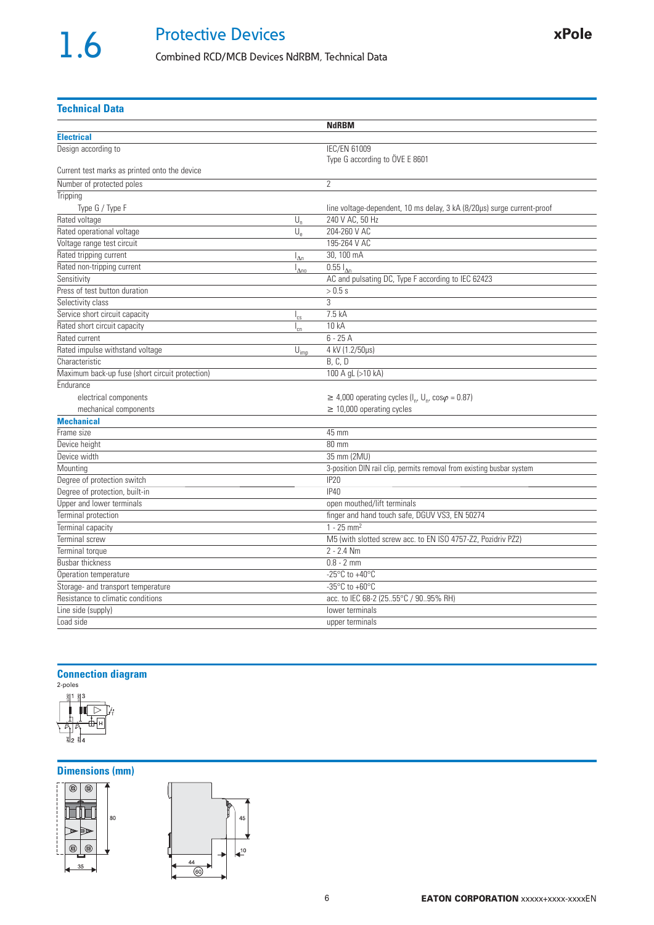# Protective Devices

# Combined RCD/MCB Devices NdRBM, Technical Data

**Technical Data**

|                                                                         | <b>NdRBM</b>                                                                           |
|-------------------------------------------------------------------------|----------------------------------------------------------------------------------------|
| <b>Electrical</b>                                                       |                                                                                        |
| Design according to                                                     | <b>IEC/EN 61009</b>                                                                    |
|                                                                         | Type G according to ÖVE E 8601                                                         |
| Current test marks as printed onto the device                           |                                                                                        |
| Number of protected poles                                               | $\overline{2}$                                                                         |
| Tripping                                                                |                                                                                        |
| Type G / Type F                                                         | line voltage-dependent, 10 ms delay, 3 kA (8/20µs) surge current-proof                 |
| Rated voltage<br>$U_n$                                                  | 240 V AC, 50 Hz                                                                        |
| $U_{\rm e}$<br>Rated operational voltage                                | 204-260 V AC                                                                           |
| Voltage range test circuit                                              | 195-264 V AC                                                                           |
| Rated tripping current<br>$I_{\Delta n}$                                | 30, 100 mA                                                                             |
| Rated non-tripping current<br>$\mathsf{I}_{\Delta n0}$                  | $0.55 I_{\text{An}}$                                                                   |
| Sensitivity                                                             | AC and pulsating DC, Type F according to IEC 62423                                     |
| Press of test button duration                                           | > 0.5 s                                                                                |
| Selectivity class                                                       | 3                                                                                      |
| Service short circuit capacity<br>$I_{cs}$                              | 7.5 kA                                                                                 |
| Rated short circuit capacity<br>$I_{cn}$                                | 10 kA                                                                                  |
| Rated current                                                           | $6 - 25A$                                                                              |
| Rated impulse withstand voltage<br>$\mathbf{\bar{U}}_{\underline{imp}}$ | 4 kV (1.2/50µs)                                                                        |
| Characteristic                                                          | B, C, D                                                                                |
| Maximum back-up fuse (short circuit protection)                         | 100 A gL (>10 kA)                                                                      |
| Endurance                                                               |                                                                                        |
| electrical components                                                   | $\geq$ 4,000 operating cycles (I <sub>n</sub> , U <sub>n</sub> , cos $\varphi$ = 0.87) |
| mechanical components                                                   | $\geq$ 10,000 operating cycles                                                         |
| <b>Mechanical</b>                                                       |                                                                                        |
| Frame size                                                              | 45 mm                                                                                  |
| Device height                                                           | 80 mm                                                                                  |
| Device width                                                            | 35 mm (2MU)                                                                            |
| Mounting                                                                | 3-position DIN rail clip, permits removal from existing busbar system                  |
| Degree of protection switch                                             | <b>IP20</b>                                                                            |
| Degree of protection, built-in                                          | <b>IP40</b>                                                                            |
| Upper and lower terminals                                               | open mouthed/lift terminals                                                            |
| Terminal protection                                                     | finger and hand touch safe, DGUV VS3, EN 50274                                         |
| Terminal capacity                                                       | $1 - 25$ mm <sup>2</sup>                                                               |
| <b>Terminal screw</b>                                                   | M5 (with slotted screw acc. to EN ISO 4757-Z2, Pozidriv PZ2)                           |
| Terminal torque                                                         | $2 - 2.4$ Nm                                                                           |
| <b>Busbar thickness</b>                                                 | $0.8 - 2$ mm                                                                           |
| Operation temperature                                                   | $-25^{\circ}$ C to $+40^{\circ}$ C                                                     |
| Storage- and transport temperature                                      | $-35^{\circ}$ C to $+60^{\circ}$ C                                                     |
| Resistance to climatic conditions                                       | acc. to IEC 68-2 (2555°C / 9095% RH)                                                   |
| Line side (supply)                                                      | lower terminals                                                                        |
| Load side                                                               | upper terminals                                                                        |

**Connection diagram**



## **Dimensions (mm)**



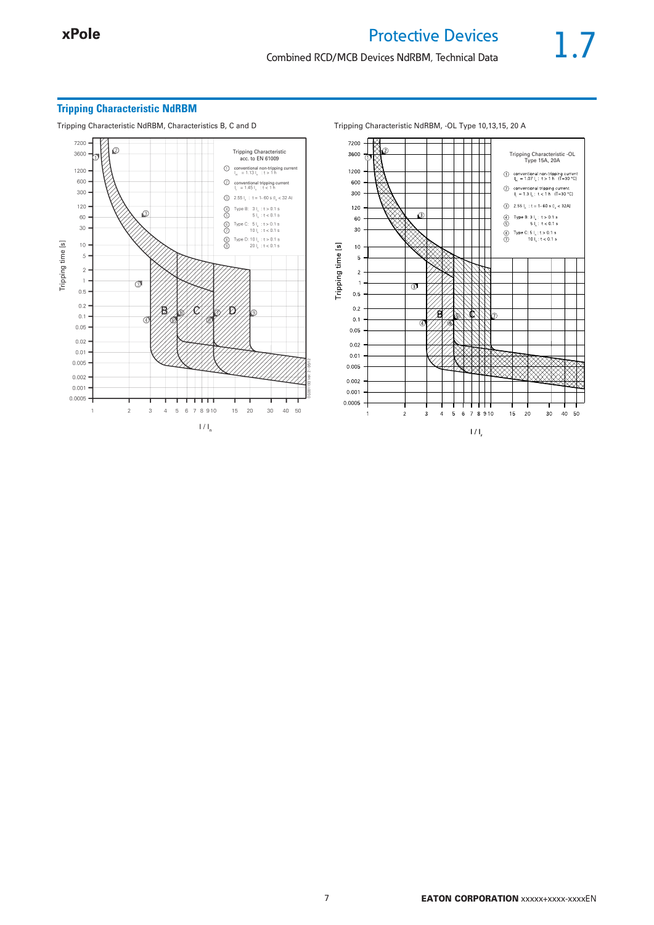### **Tripping Characteristic NdRBM**

Tripping Characteristic NdRBM, Characteristics B, C and D Tripping Characteristic NdRBM, -OL Type 10,13,15, 20 A



7200 ā 3600 Tripping Characteristic -OL Type 15A, 20A1200  $\begin{tabular}{ll} $\bigcirc$ & conventional non-tripping current \\ $I_{n} = 1.07\,I_{n}:~t > 1$ h & (T=30 °C)} \end{tabular}$ 600  $\begin{array}{ll}\bigotimes & \text{conventional tripping current} \\ \mathsf{I}_1 = 1.3 \, \mathsf{I}_n : \, t < 1 \, \mathsf{h} \quad (\mathsf{T} = 30 \, \, ^\circ \mathsf{C}) \end{array}$ 300  $\textcircled{3}\quad 2.55\text{ I}_n\,:\text{t}=1\text{-}60\text{ s }\text{II}_n<32\text{A}$ 120 Q (a) Type B:  $3 \mid_{n}$ : t > 0.1 s<br>(b)  $5 \mid_{n}$ : t < 0.1 s  $_{\rm 60}$ 30 (a) Type C: 5 l<sub>i</sub>: t > 0.1 s<br>(7) 10 l<sub>i</sub>: t < 0.1 s Tripping time [s]  $10$  $\,$  5  $\,$  $\overline{2}$  $\mathbf{1}$  $\overline{3}$  $0.5$  $0.2$  $0.1$  $0.05$  $0.02$  $0.01$  $0.005$  $0.002$  $0.001$  $0.0005$  $15<sup>15</sup>$  $\overline{20}$  $\overline{\mathbf{2}}$  $_{\rm 3}$  $4\quad 5\quad 6\quad 7\quad 8\quad 9\, 10$  $30^{\circ}$  $40-50$  $\overline{1}$  $1/1$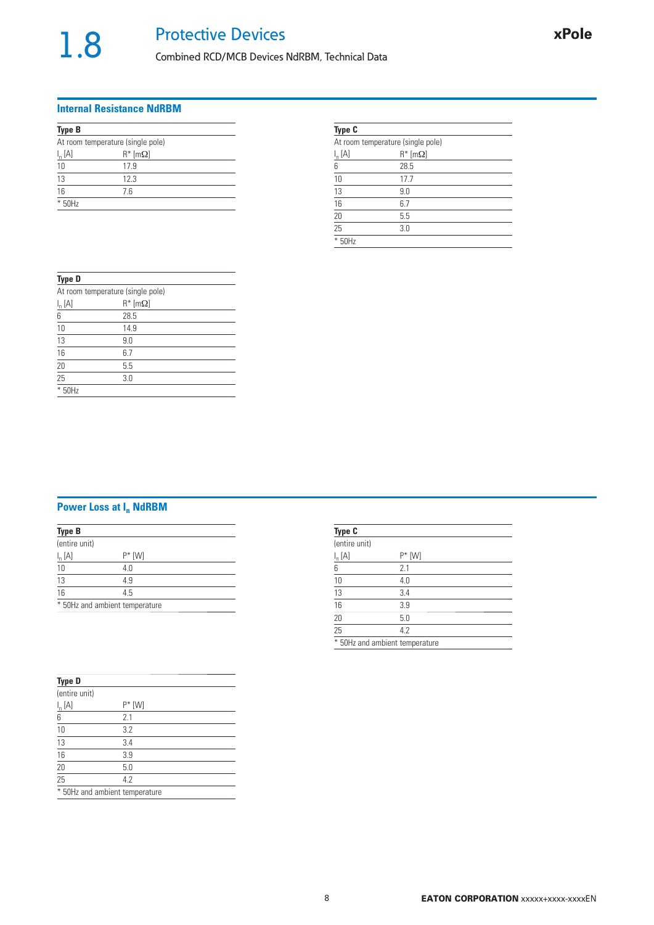# Combined RCD/MCB Devices NdRBM, Technical Data

#### **Internal Resistance NdRBM**

| <b>Type B</b>  |                                   |  |
|----------------|-----------------------------------|--|
|                | At room temperature (single pole) |  |
| $I_n[A]$       | $R^*$ [m $\Omega$ ]               |  |
| 10             | 17.9                              |  |
| $\frac{13}{1}$ | 12.3                              |  |
| 16             | 7.6                               |  |
| * 50Hz         |                                   |  |

| <b>Type C</b> |                                   |  |
|---------------|-----------------------------------|--|
|               | At room temperature (single pole) |  |
| $I_n[A]$      | $R^*$ [m $\Omega$ ]               |  |
| 6             | 28.5                              |  |
| 10            | 17.7                              |  |
| 13            | 9.0                               |  |
| 16            | 6.7                               |  |
| 20            | 5.5                               |  |
| 25            | 3.0                               |  |
| ⋇<br>50Hz     |                                   |  |

| <b>Type D</b>   |                                   |  |
|-----------------|-----------------------------------|--|
|                 | At room temperature (single pole) |  |
| $I_n[A]$        | $R^*$ [m $\Omega$ ]               |  |
| 6               | 28.5                              |  |
| 10              | 14.9                              |  |
| 13              | 9.0                               |  |
| $\overline{16}$ | 6.7                               |  |
| $\overline{20}$ | 5.5                               |  |
| $\overline{25}$ | 3.0                               |  |
| * 50Hz          |                                   |  |

# **Power Loss at In NdRBM**

| <b>Type B</b>   |                                |  |  |
|-----------------|--------------------------------|--|--|
| (entire unit)   |                                |  |  |
| $I_n[A]$        | $P^*$ [W]                      |  |  |
|                 | 4.0                            |  |  |
| $\frac{10}{13}$ | 4.9                            |  |  |
| $\overline{16}$ | 4.5                            |  |  |
|                 | * 50Hz and ambient temperature |  |  |

| <b>Type D</b>   |                                |  |
|-----------------|--------------------------------|--|
| (entire unit)   |                                |  |
| $I_n[A]$        | $P^*$ [W]                      |  |
| 6               | 2.1                            |  |
| 10              | 3.2                            |  |
| 13              | 3.4                            |  |
| $\frac{16}{1}$  | 3.9                            |  |
| $\overline{20}$ | 5.0                            |  |
| $\overline{25}$ | 4.2                            |  |
|                 | * 50Hz and ambient temperature |  |

| <b>Type C</b>   |                                |  |
|-----------------|--------------------------------|--|
| (entire unit)   |                                |  |
| $I_n[A]$        | $P^*$ [W]                      |  |
| 6               | 2.1                            |  |
| 10              | 4.0                            |  |
| 13              | 3.4                            |  |
| 16              | 3.9                            |  |
| $\overline{20}$ | 5.0                            |  |
| $\overline{25}$ | 4.2                            |  |
|                 | * 50Hz and ambient temperature |  |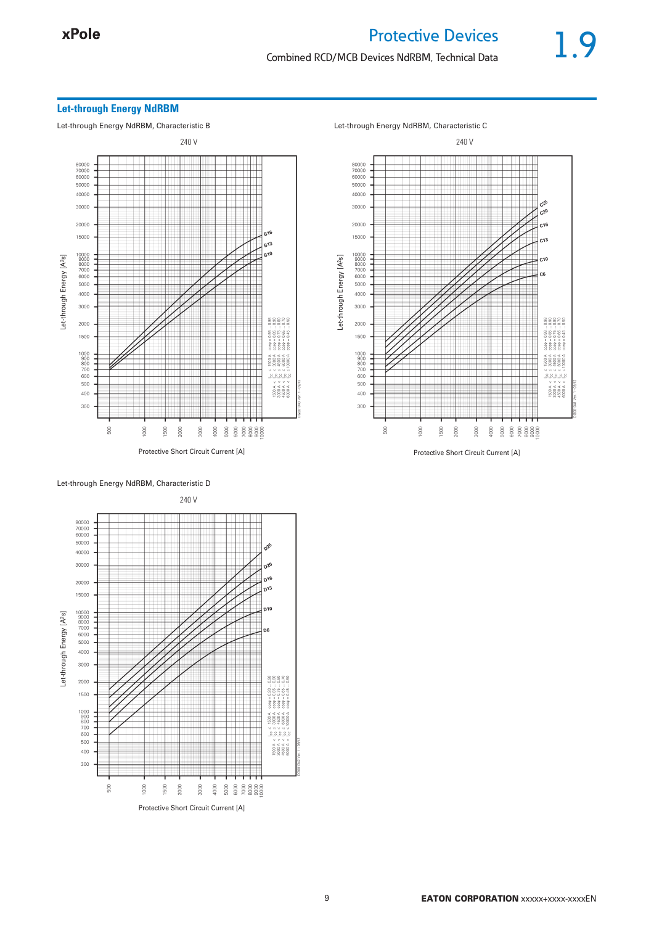### Combined RCD/MCB Devices NdRBM, Technical Data

#### **Let-through Energy NdRBM**

Let-through Energy NdRBM, Characteristic B Let-through Energy NdRBM, Characteristic C





240 V 80000<br>70000<br>60000 50000 40000 30000 20000  $\sim$ 15000  $\begin{array}{c} 10000 \\ 9000 \\ 8000 \\ 7000 \\ 6000 \end{array}$ Let-through Energy [A<sup>2</sup>s] Let-through Energy [A2s]  $5000$ 4000 3000 88828 2000  $\begin{array}{c} . & . & . & . \\ . & . & . & . \\ . & . & . & . \\ . & . & . & . \\ . & . & . & . \\ . & . & . & . \\ . & . & . & . \\ . & . & . & . \\ . & . & . & . \\ . & . & . & . \\ . & . & . & . \\ . & . & . & . \\ . & . & . & . \\ . & . & . & . \\ . & . & . & . \\ . & . & . & . \\ . & . & . & . \\ . & . & . & . \\ . & . & . & . \\ . & . & . & . \\ . & . & . & . \\ . & . & . & . \\ . & . & . & . \\ . & . & . & . \\ . & . & . & . \\ . & . & . & . \\ . & . & .$ 1500  $888888$  $\begin{array}{r} 1000 \\ 900 \\ 800 \\ 700 \\ 600 \\ 500 \end{array}$  $0004$  $8888$  $\begin{array}{c} 1500 A < \\ 3000 A < \\ 4500 A < \\ 6000 A \end{array}$ 400 300  $\frac{6}{3}$  $\rm ^{00}$ 500 2000  $\frac{8}{9}$   $\frac{8}{9}$   $\frac{8}{9}$   $\frac{8}{9}$   $\frac{8}{9}$   $\frac{8}{9}$   $\frac{8}{9}$   $\frac{8}{9}$   $\frac{8}{9}$   $\frac{8}{9}$   $\frac{8}{9}$   $\frac{8}{9}$   $\frac{8}{9}$   $\frac{8}{9}$   $\frac{8}{9}$   $\frac{8}{9}$   $\frac{8}{9}$   $\frac{8}{9}$   $\frac{8}{9}$   $\frac{8}{9}$   $\frac{8}{9}$   $\frac{8}{9}$  3000 Protective Short Circuit Current [A]